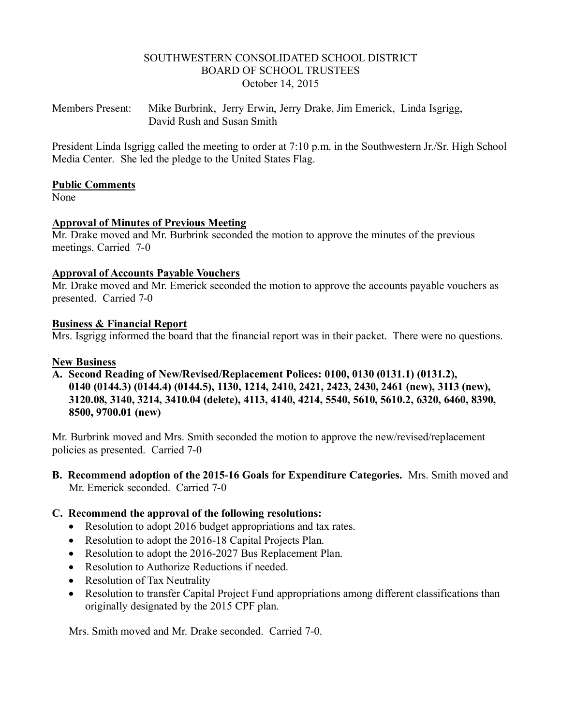#### SOUTHWESTERN CONSOLIDATED SCHOOL DISTRICT BOARD OF SCHOOL TRUSTEES October 14, 2015

Members Present: Mike Burbrink, Jerry Erwin, Jerry Drake, Jim Emerick, Linda Isgrigg, David Rush and Susan Smith

President Linda Isgrigg called the meeting to order at 7:10 p.m. in the Southwestern Jr./Sr. High School Media Center. She led the pledge to the United States Flag.

#### **Public Comments**

None

## **Approval of Minutes of Previous Meeting**

Mr. Drake moved and Mr. Burbrink seconded the motion to approve the minutes of the previous meetings. Carried 7-0

#### **Approval of Accounts Payable Vouchers**

Mr. Drake moved and Mr. Emerick seconded the motion to approve the accounts payable vouchers as presented. Carried 7-0

#### **Business & Financial Report**

Mrs. Isgrigg informed the board that the financial report was in their packet. There were no questions.

#### **New Business**

**A. Second Reading of New/Revised/Replacement Polices: 0100, 0130 (0131.1) (0131.2), 0140 (0144.3) (0144.4) (0144.5), 1130, 1214, 2410, 2421, 2423, 2430, 2461 (new), 3113 (new), 3120.08, 3140, 3214, 3410.04 (delete), 4113, 4140, 4214, 5540, 5610, 5610.2, 6320, 6460, 8390, 8500, 9700.01 (new)**

Mr. Burbrink moved and Mrs. Smith seconded the motion to approve the new/revised/replacement policies as presented. Carried 7-0

**B. Recommend adoption of the 2015-16 Goals for Expenditure Categories.** Mrs. Smith moved and Mr. Emerick seconded. Carried 7-0

## **C. Recommend the approval of the following resolutions:**

- Resolution to adopt 2016 budget appropriations and tax rates.
- Resolution to adopt the 2016-18 Capital Projects Plan.
- Resolution to adopt the 2016-2027 Bus Replacement Plan.
- Resolution to Authorize Reductions if needed.
- Resolution of Tax Neutrality
- Resolution to transfer Capital Project Fund appropriations among different classifications than originally designated by the 2015 CPF plan.

Mrs. Smith moved and Mr. Drake seconded. Carried 7-0.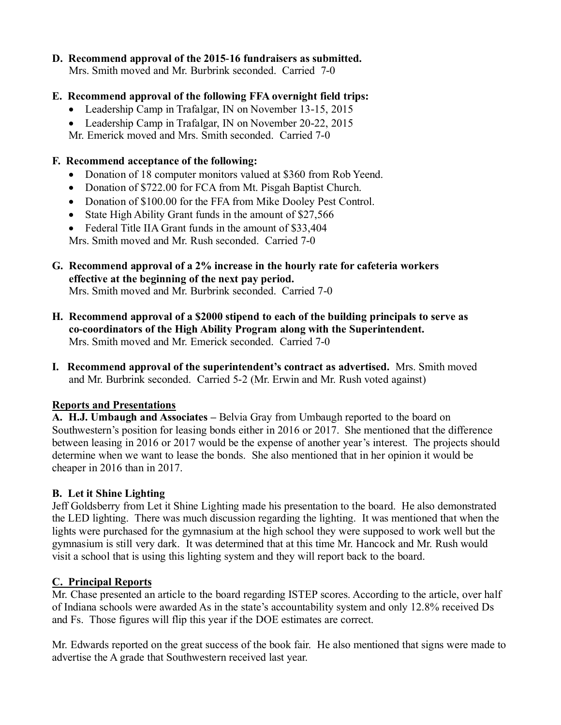# **D. Recommend approval of the 2015-16 fundraisers as submitted.**

Mrs. Smith moved and Mr. Burbrink seconded. Carried 7-0

# **E. Recommend approval of the following FFA overnight field trips:**

- Leadership Camp in Trafalgar, IN on November 13-15, 2015
- Leadership Camp in Trafalgar, IN on November 20-22, 2015

Mr. Emerick moved and Mrs. Smith seconded. Carried 7-0

# **F. Recommend acceptance of the following:**

- Donation of 18 computer monitors valued at \$360 from Rob Yeend.
- Donation of \$722.00 for FCA from Mt. Pisgah Baptist Church.
- Donation of \$100.00 for the FFA from Mike Dooley Pest Control.
- State High Ability Grant funds in the amount of \$27,566
- Federal Title IIA Grant funds in the amount of \$33,404

Mrs. Smith moved and Mr. Rush seconded. Carried 7-0

**G. Recommend approval of a 2% increase in the hourly rate for cafeteria workers effective at the beginning of the next pay period.**

Mrs. Smith moved and Mr. Burbrink seconded. Carried 7-0

- **H. Recommend approval of a \$2000 stipend to each of the building principals to serve as co-coordinators of the High Ability Program along with the Superintendent.** Mrs. Smith moved and Mr. Emerick seconded. Carried 7-0
- **I. Recommend approval of the superintendent's contract as advertised.** Mrs. Smith moved and Mr. Burbrink seconded. Carried 5-2 (Mr. Erwin and Mr. Rush voted against)

## **Reports and Presentations**

**A. H.J. Umbaugh and Associates –** Belvia Gray from Umbaugh reported to the board on Southwestern's position for leasing bonds either in 2016 or 2017. She mentioned that the difference between leasing in 2016 or 2017 would be the expense of another year's interest. The projects should determine when we want to lease the bonds. She also mentioned that in her opinion it would be cheaper in 2016 than in 2017.

# **B. Let it Shine Lighting**

Jeff Goldsberry from Let it Shine Lighting made his presentation to the board. He also demonstrated the LED lighting. There was much discussion regarding the lighting. It was mentioned that when the lights were purchased for the gymnasium at the high school they were supposed to work well but the gymnasium is still very dark. It was determined that at this time Mr. Hancock and Mr. Rush would visit a school that is using this lighting system and they will report back to the board.

# **C. Principal Reports**

Mr. Chase presented an article to the board regarding ISTEP scores. According to the article, over half of Indiana schools were awarded As in the state's accountability system and only 12.8% received Ds and Fs. Those figures will flip this year if the DOE estimates are correct.

Mr. Edwards reported on the great success of the book fair. He also mentioned that signs were made to advertise the A grade that Southwestern received last year.